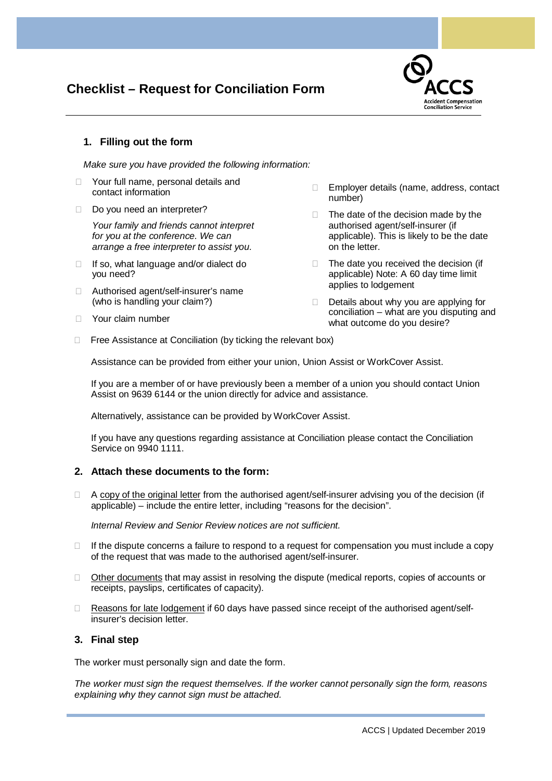# **Checklist – Request for Conciliation Form**



# **1. Filling out the form**

*Make sure you have provided the following information:*

- □ Your full name, personal details and contact information
- Do you need an interpreter?

*Your family and friends cannot interpret for you at the conference. We can arrange a free interpreter to assist you.* 

- □ If so, what language and/or dialect do you need?
- □ Authorised agent/self-insurer's name (who is handling your claim?)
- **Nour claim number**
- □ Employer details (name, address, contact number)
- $\Box$  The date of the decision made by the authorised agent/self-insurer (if applicable). This is likely to be the date on the letter.
- $\Box$  The date you received the decision (if applicable) Note: A 60 day time limit applies to lodgement
- $\Box$  Details about why you are applying for conciliation – what are you disputing and what outcome do you desire?
- $\Box$  Free Assistance at Conciliation (by ticking the relevant box)

Assistance can be provided from either your union, Union Assist or WorkCover Assist.

If you are a member of or have previously been a member of a union you should contact Union Assist on 9639 6144 or the union directly for advice and assistance.

Alternatively, assistance can be provided by WorkCover Assist.

If you have any questions regarding assistance at Conciliation please contact the Conciliation Service on 9940 1111.

# **2. Attach these documents to the form:**

 $\Box$  A copy of the original letter from the authorised agent/self-insurer advising you of the decision (if applicable) – include the entire letter, including "reasons for the decision".

*Internal Review and Senior Review notices are not sufficient.*

- $\Box$  If the dispute concerns a failure to respond to a request for compensation you must include a copy of the request that was made to the authorised agent/self-insurer.
- $\Box$  Other documents that may assist in resolving the dispute (medical reports, copies of accounts or receipts, payslips, certificates of capacity).
- $\Box$  Reasons for late lodgement if 60 days have passed since receipt of the authorised agent/selfinsurer's decision letter.

# **3. Final step**

The worker must personally sign and date the form.

*The worker must sign the request themselves. If the worker cannot personally sign the form, reasons explaining why they cannot sign must be attached.*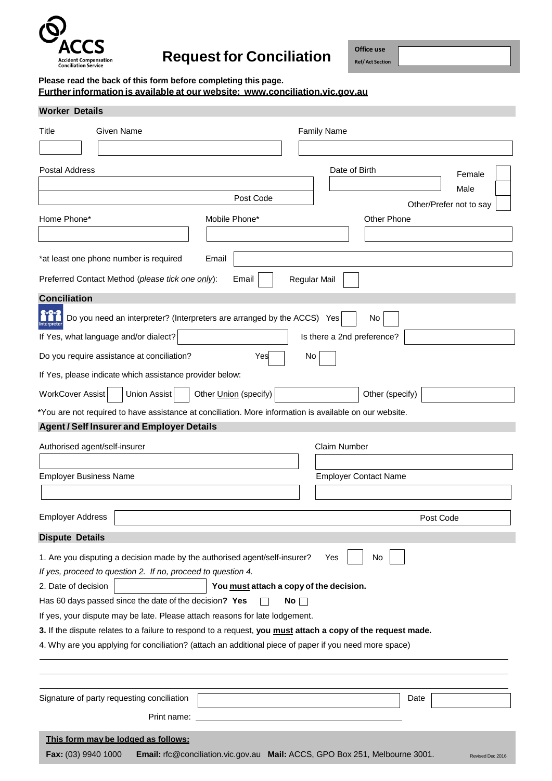

# **Request for Conciliation**

**Office use Ref/Act Section**

**Please read the back of this form before completing this page.**

**Furtherinformation is available at our website: [www.conciliation.vic.gov.au](http://www.conciliation.vic.gov.au/)**

| <b>Worker Details</b>                                                                                                                                                                                                 |                              |                     |                                                                                                 |
|-----------------------------------------------------------------------------------------------------------------------------------------------------------------------------------------------------------------------|------------------------------|---------------------|-------------------------------------------------------------------------------------------------|
| Title<br>Given Name                                                                                                                                                                                                   |                              |                     | <b>Family Name</b>                                                                              |
|                                                                                                                                                                                                                       |                              |                     |                                                                                                 |
| Postal Address                                                                                                                                                                                                        |                              |                     | Date of Birth<br>Female<br>Male                                                                 |
|                                                                                                                                                                                                                       | Post Code                    |                     | Other/Prefer not to say                                                                         |
| Home Phone*                                                                                                                                                                                                           | Mobile Phone*                |                     | Other Phone                                                                                     |
| *at least one phone number is required                                                                                                                                                                                | Email                        |                     |                                                                                                 |
| Preferred Contact Method (please tick one only):                                                                                                                                                                      | Email                        | <b>Regular Mail</b> |                                                                                                 |
| <b>Conciliation</b>                                                                                                                                                                                                   |                              |                     |                                                                                                 |
| Do you need an interpreter? (Interpreters are arranged by the ACCS) Yes                                                                                                                                               |                              |                     | No                                                                                              |
| If Yes, what language and/or dialect?                                                                                                                                                                                 |                              |                     | Is there a 2nd preference?                                                                      |
| Do you require assistance at conciliation?                                                                                                                                                                            | Yes                          | No.                 |                                                                                                 |
| If Yes, please indicate which assistance provider below:                                                                                                                                                              |                              |                     |                                                                                                 |
| WorkCover Assist<br>Union Assist                                                                                                                                                                                      | Other <i>Union</i> (specify) |                     | Other (specify)                                                                                 |
| *You are not required to have assistance at conciliation. More information is available on our website.                                                                                                               |                              |                     |                                                                                                 |
| <b>Agent / Self Insurer and Employer Details</b>                                                                                                                                                                      |                              |                     |                                                                                                 |
| Authorised agent/self-insurer                                                                                                                                                                                         |                              |                     | <b>Claim Number</b>                                                                             |
| <b>Employer Business Name</b>                                                                                                                                                                                         |                              |                     | <b>Employer Contact Name</b>                                                                    |
|                                                                                                                                                                                                                       |                              |                     |                                                                                                 |
|                                                                                                                                                                                                                       |                              |                     |                                                                                                 |
| <b>Employer Address</b>                                                                                                                                                                                               |                              |                     | Post Code                                                                                       |
| <b>Dispute Details</b>                                                                                                                                                                                                |                              |                     |                                                                                                 |
| 1. Are you disputing a decision made by the authorised agent/self-insurer?                                                                                                                                            |                              |                     | No<br>Yes                                                                                       |
| If yes, proceed to question 2. If no, proceed to question 4.                                                                                                                                                          |                              |                     |                                                                                                 |
| 2. Date of decision<br>You must attach a copy of the decision.                                                                                                                                                        |                              |                     |                                                                                                 |
| Has 60 days passed since the date of the decision? Yes<br>No $\Box$                                                                                                                                                   |                              |                     |                                                                                                 |
| If yes, your dispute may be late. Please attach reasons for late lodgement.                                                                                                                                           |                              |                     |                                                                                                 |
| 3. If the dispute relates to a failure to respond to a request, you must attach a copy of the request made.<br>4. Why are you applying for conciliation? (attach an additional piece of paper if you need more space) |                              |                     |                                                                                                 |
|                                                                                                                                                                                                                       |                              |                     |                                                                                                 |
|                                                                                                                                                                                                                       |                              |                     |                                                                                                 |
| Signature of party requesting conciliation                                                                                                                                                                            |                              |                     | Date                                                                                            |
| Print name:                                                                                                                                                                                                           |                              |                     |                                                                                                 |
| This form may be lodged as follows:                                                                                                                                                                                   |                              |                     |                                                                                                 |
| Fax: (03) 9940 1000                                                                                                                                                                                                   |                              |                     | Email: rfc@conciliation.vic.gov.au Mail: ACCS, GPO Box 251, Melbourne 3001.<br>Revised Dec 2016 |